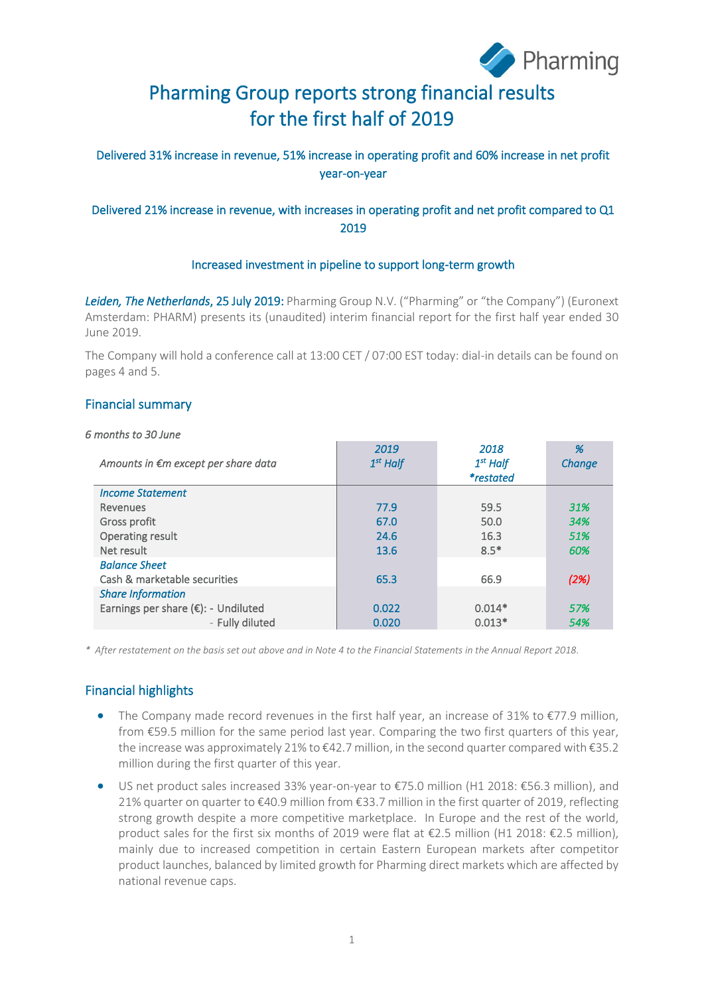

# Pharming Group reports strong financial results for the first half of 2019

### Delivered 31% increase in revenue, 51% increase in operating profit and 60% increase in net profit year-on-year

### Delivered 21% increase in revenue, with increases in operating profit and net profit compared to Q1 2019

#### Increased investment in pipeline to support long-term growth

*Leiden, The Netherlands*, 25 July 2019: Pharming Group N.V. ("Pharming" or "the Company") (Euronext Amsterdam: PHARM) presents its (unaudited) interim financial report for the first half year ended 30 June 2019.

The Company will hold a conference call at 13:00 CET / 07:00 EST today: dial-in details can be found on pages 4 and 5.

### Financial summary

#### *6 months to 30 June*

| Amounts in €m except per share data | 2019<br>$1st$ Half | 2018<br>$1st$ Half<br><i>*restated</i> | %<br>Change |
|-------------------------------------|--------------------|----------------------------------------|-------------|
| <b>Income Statement</b>             |                    |                                        |             |
| Revenues                            | 77.9               | 59.5                                   | 31%         |
| Gross profit                        | 67.0               | 50.0                                   | 34%         |
| Operating result                    | 24.6               | 16.3                                   | 51%         |
| Net result                          | 13.6               | $8.5*$                                 | 60%         |
| <b>Balance Sheet</b>                |                    |                                        |             |
| Cash & marketable securities        | 65.3               | 66.9                                   | (2%)        |
| <b>Share Information</b>            |                    |                                        |             |
| Earnings per share (€): - Undiluted | 0.022              | $0.014*$                               | 57%         |
| - Fully diluted                     | 0.020              | $0.013*$                               | 54%         |

*\* After restatement on the basis set out above and in Note 4 to the Financial Statements in the Annual Report 2018.*

### Financial highlights

- The Company made record revenues in the first half year, an increase of 31% to €77.9 million, from €59.5 million for the same period last year. Comparing the two first quarters of this year, the increase was approximately 21% to €42.7 million, in the second quarter compared with €35.2 million during the first quarter of this year.
- US net product sales increased 33% year-on-year to €75.0 million (H1 2018: €56.3 million), and 21% quarter on quarter to €40.9 million from €33.7 million in the first quarter of 2019, reflecting strong growth despite a more competitive marketplace. In Europe and the rest of the world, product sales for the first six months of 2019 were flat at €2.5 million (H1 2018: €2.5 million), mainly due to increased competition in certain Eastern European markets after competitor product launches, balanced by limited growth for Pharming direct markets which are affected by national revenue caps.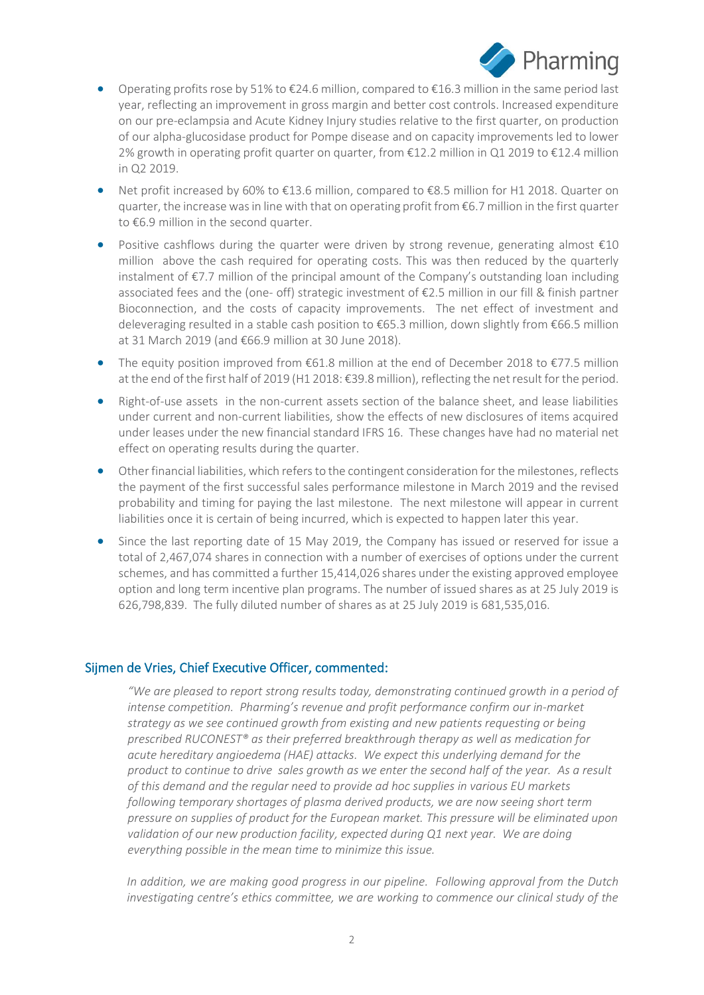

- Operating profits rose by 51% to  $\epsilon$ 24.6 million, compared to  $\epsilon$ 16.3 million in the same period last year, reflecting an improvement in gross margin and better cost controls. Increased expenditure on our pre-eclampsia and Acute Kidney Injury studies relative to the first quarter, on production of our alpha-glucosidase product for Pompe disease and on capacity improvements led to lower 2% growth in operating profit quarter on quarter, from €12.2 million in Q1 2019 to €12.4 million in Q2 2019.
- Net profit increased by 60% to €13.6 million, compared to €8.5 million for H1 2018. Quarter on quarter, the increase was in line with that on operating profit from €6.7 million in the first quarter to €6.9 million in the second quarter.
- Positive cashflows during the quarter were driven by strong revenue, generating almost €10 million above the cash required for operating costs. This was then reduced by the quarterly instalment of €7.7 million of the principal amount of the Company's outstanding loan including associated fees and the (one- off) strategic investment of  $\epsilon$ 2.5 million in our fill & finish partner Bioconnection, and the costs of capacity improvements. The net effect of investment and deleveraging resulted in a stable cash position to €65.3 million, down slightly from €66.5 million at 31 March 2019 (and €66.9 million at 30 June 2018).
- The equity position improved from  $\epsilon$ 61.8 million at the end of December 2018 to  $\epsilon$ 77.5 million at the end of the first half of 2019 (H1 2018: €39.8 million), reflecting the net result for the period.
- Right-of-use assets in the non-current assets section of the balance sheet, and lease liabilities under current and non-current liabilities, show the effects of new disclosures of items acquired under leases under the new financial standard IFRS 16. These changes have had no material net effect on operating results during the quarter.
- Other financial liabilities, which refers to the contingent consideration for the milestones, reflects the payment of the first successful sales performance milestone in March 2019 and the revised probability and timing for paying the last milestone. The next milestone will appear in current liabilities once it is certain of being incurred, which is expected to happen later this year.
- Since the last reporting date of 15 May 2019, the Company has issued or reserved for issue a total of 2,467,074 shares in connection with a number of exercises of options under the current schemes, and has committed a further 15,414,026 shares under the existing approved employee option and long term incentive plan programs. The number of issued shares as at 25 July 2019 is 626,798,839. The fully diluted number of shares as at 25 July 2019 is 681,535,016.

### Sijmen de Vries, Chief Executive Officer, commented:

*"We are pleased to report strong results today, demonstrating continued growth in a period of intense competition. Pharming's revenue and profit performance confirm our in-market strategy as we see continued growth from existing and new patients requesting or being prescribed RUCONEST® as their preferred breakthrough therapy as well as medication for acute hereditary angioedema (HAE) attacks. We expect this underlying demand for the product to continue to drive sales growth as we enter the second half of the year. As a result of this demand and the regular need to provide ad hoc supplies in various EU markets following temporary shortages of plasma derived products, we are now seeing short term pressure on supplies of product for the European market. This pressure will be eliminated upon validation of our new production facility, expected during Q1 next year. We are doing everything possible in the mean time to minimize this issue.*

*In addition, we are making good progress in our pipeline. Following approval from the Dutch investigating centre's ethics committee, we are working to commence our clinical study of the*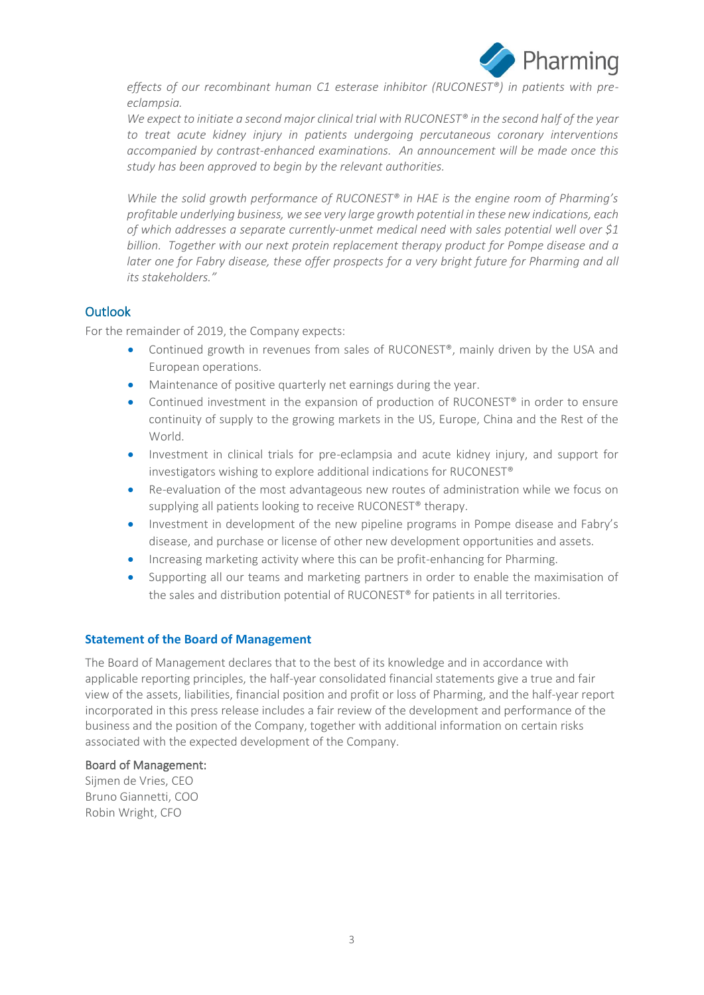

*effects of our recombinant human C1 esterase inhibitor (RUCONEST®) in patients with preeclampsia.* 

*We expect to initiate a second major clinical trial with RUCONEST® in the second half of the year to treat acute kidney injury in patients undergoing percutaneous coronary interventions accompanied by contrast-enhanced examinations. An announcement will be made once this study has been approved to begin by the relevant authorities.*

*While the solid growth performance of RUCONEST® in HAE is the engine room of Pharming's profitable underlying business, we see very large growth potential in these new indications, each of which addresses a separate currently-unmet medical need with sales potential well over \$1 billion. Together with our next protein replacement therapy product for Pompe disease and a*  later one for Fabry disease, these offer prospects for a very bright future for Pharming and all *its stakeholders."*

### **Outlook**

For the remainder of 2019, the Company expects:

- Continued growth in revenues from sales of RUCONEST®, mainly driven by the USA and European operations.
- Maintenance of positive quarterly net earnings during the year.
- Continued investment in the expansion of production of RUCONEST<sup>®</sup> in order to ensure continuity of supply to the growing markets in the US, Europe, China and the Rest of the World.
- Investment in clinical trials for pre-eclampsia and acute kidney injury, and support for investigators wishing to explore additional indications for RUCONEST®
- Re-evaluation of the most advantageous new routes of administration while we focus on supplying all patients looking to receive RUCONEST<sup>®</sup> therapy.
- Investment in development of the new pipeline programs in Pompe disease and Fabry's disease, and purchase or license of other new development opportunities and assets.
- Increasing marketing activity where this can be profit-enhancing for Pharming.
- Supporting all our teams and marketing partners in order to enable the maximisation of the sales and distribution potential of RUCONEST® for patients in all territories.

### **Statement of the Board of Management**

The Board of Management declares that to the best of its knowledge and in accordance with applicable reporting principles, the half-year consolidated financial statements give a true and fair view of the assets, liabilities, financial position and profit or loss of Pharming, and the half-year report incorporated in this press release includes a fair review of the development and performance of the business and the position of the Company, together with additional information on certain risks associated with the expected development of the Company.

#### Board of Management:

Sijmen de Vries, CEO Bruno Giannetti, COO Robin Wright, CFO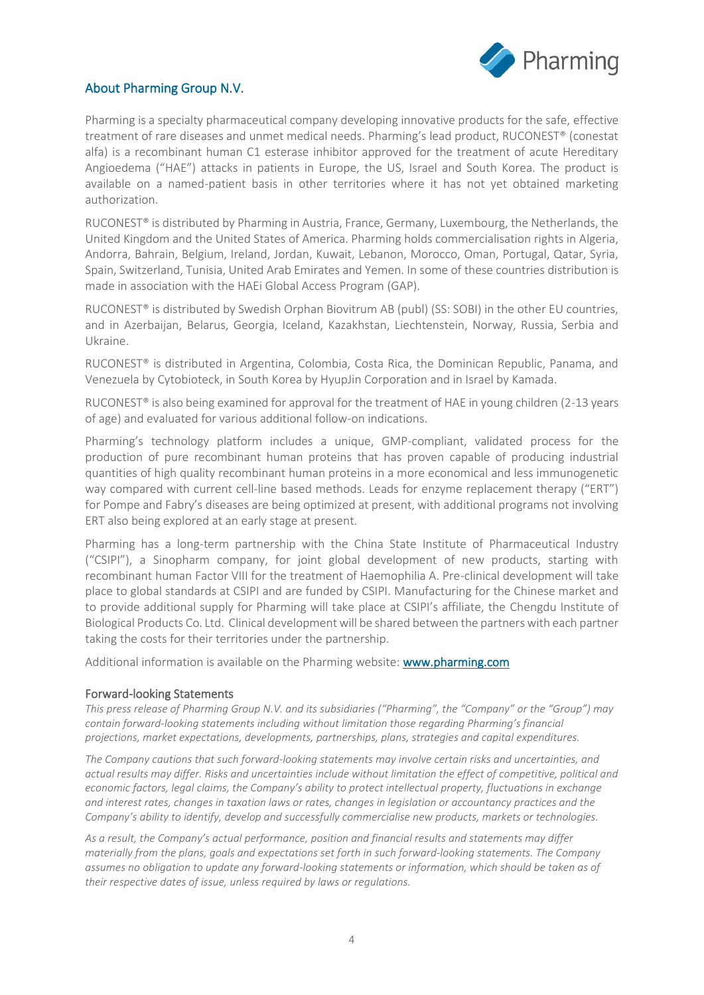

### About Pharming Group N.V.

Pharming is a specialty pharmaceutical company developing innovative products for the safe, effective treatment of rare diseases and unmet medical needs. Pharming's lead product, RUCONEST® (conestat alfa) is a recombinant human C1 esterase inhibitor approved for the treatment of acute Hereditary Angioedema ("HAE") attacks in patients in Europe, the US, Israel and South Korea. The product is available on a named-patient basis in other territories where it has not yet obtained marketing authorization.

RUCONEST® is distributed by Pharming in Austria, France, Germany, Luxembourg, the Netherlands, the United Kingdom and the United States of America. Pharming holds commercialisation rights in Algeria, Andorra, Bahrain, Belgium, Ireland, Jordan, Kuwait, Lebanon, Morocco, Oman, Portugal, Qatar, Syria, Spain, Switzerland, Tunisia, United Arab Emirates and Yemen. In some of these countries distribution is made in association with the HAEi Global Access Program (GAP).

RUCONEST® is distributed by Swedish Orphan Biovitrum AB (publ) (SS: SOBI) in the other EU countries, and in Azerbaijan, Belarus, Georgia, Iceland, Kazakhstan, Liechtenstein, Norway, Russia, Serbia and Ukraine.

RUCONEST® is distributed in Argentina, Colombia, Costa Rica, the Dominican Republic, Panama, and Venezuela by Cytobioteck, in South Korea by HyupJin Corporation and in Israel by Kamada.

RUCONEST<sup>®</sup> is also being examined for approval for the treatment of HAE in young children (2-13 years of age) and evaluated for various additional follow-on indications.

Pharming's technology platform includes a unique, GMP-compliant, validated process for the production of pure recombinant human proteins that has proven capable of producing industrial quantities of high quality recombinant human proteins in a more economical and less immunogenetic way compared with current cell-line based methods. Leads for enzyme replacement therapy ("ERT") for Pompe and Fabry's diseases are being optimized at present, with additional programs not involving ERT also being explored at an early stage at present.

Pharming has a long-term partnership with the China State Institute of Pharmaceutical Industry ("CSIPI"), a Sinopharm company, for joint global development of new products, starting with recombinant human Factor VIII for the treatment of Haemophilia A. Pre-clinical development will take place to global standards at CSIPI and are funded by CSIPI. Manufacturing for the Chinese market and to provide additional supply for Pharming will take place at CSIPI's affiliate, the Chengdu Institute of Biological Products Co. Ltd. Clinical development will be shared between the partners with each partner taking the costs for their territories under the partnership.

Additional information is available on the Pharming website: **www.pharming.com** 

#### Forward-looking Statements

*This press release of Pharming Group N.V. and its subsidiaries ("Pharming", the "Company" or the "Group") may contain forward-looking statements including without limitation those regarding Pharming's financial projections, market expectations, developments, partnerships, plans, strategies and capital expenditures.*

*The Company cautions that such forward-looking statements may involve certain risks and uncertainties, and actual results may differ. Risks and uncertainties include without limitation the effect of competitive, political and economic factors, legal claims, the Company's ability to protect intellectual property, fluctuations in exchange and interest rates, changes in taxation laws or rates, changes in legislation or accountancy practices and the Company's ability to identify, develop and successfully commercialise new products, markets or technologies.*

*As a result, the Company's actual performance, position and financial results and statements may differ materially from the plans, goals and expectations set forth in such forward-looking statements. The Company assumes no obligation to update any forward-looking statements or information, which should be taken as of their respective dates of issue, unless required by laws or regulations.*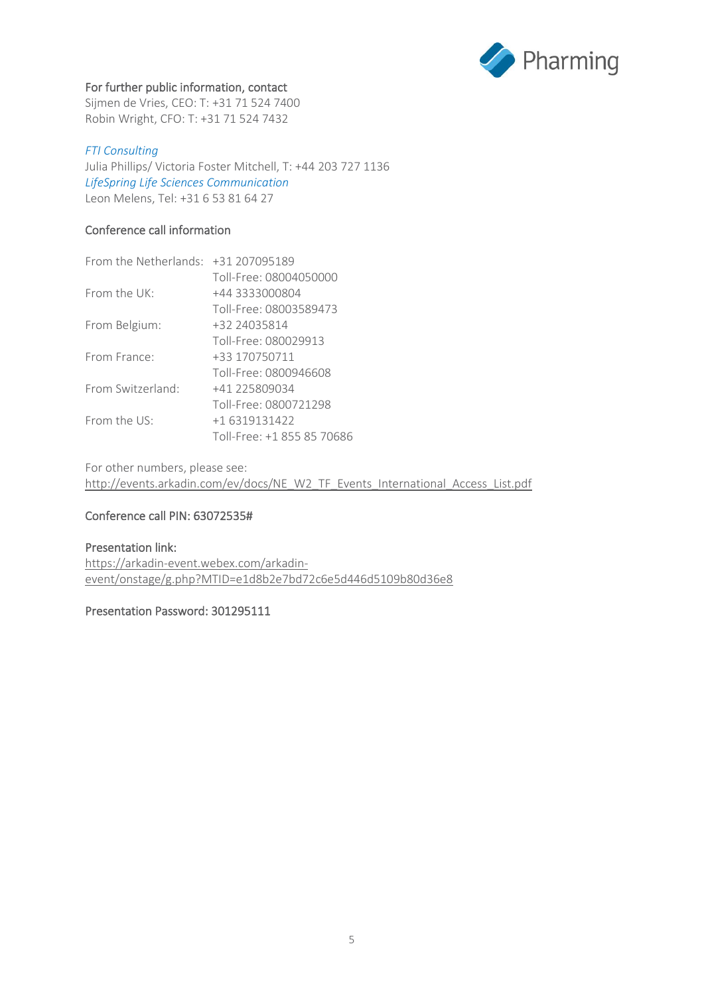

#### For further public information, contact

Sijmen de Vries, CEO: T: +31 71 524 7400 Robin Wright, CFO: T: +31 71 524 7432

#### *FTI Consulting*

Julia Phillips/ Victoria Foster Mitchell, T: +44 203 727 1136 *LifeSpring Life Sciences Communication* Leon Melens, Tel: +31 6 53 81 64 27

#### Conference call information

| From the Netherlands: $+31$ 207095189 |                            |
|---------------------------------------|----------------------------|
|                                       | Toll-Free: 08004050000     |
| From the UK:                          | +44 3333000804             |
|                                       | Toll-Free: 08003589473     |
| From Belgium:                         | +32 24035814               |
|                                       | Toll-Free: 080029913       |
| From France:                          | +33 170750711              |
|                                       | Toll-Free: 0800946608      |
| From Switzerland:                     | +41 225809034              |
|                                       | Toll-Free: 0800721298      |
| From the $US^{\dagger}$               | +16319131422               |
|                                       | Toll-Free: +1 855 85 70686 |

For other numbers, please see: [http://events.arkadin.com/ev/docs/NE\\_W2\\_TF\\_Events\\_International\\_Access\\_List.pdf](http://events.arkadin.com/ev/docs/NE_W2_TF_Events_International_Access_List.pdf)

### Conference call PIN: 63072535#

#### Presentation link: [https://arkadin-event.webex.com/arkadin](https://arkadin-event.webex.com/arkadin-event/onstage/g.php?MTID=e1d8b2e7bd72c6e5d446d5109b80d36e8)[event/onstage/g.php?MTID=e1d8b2e7bd72c6e5d446d5109b80d36e8](https://arkadin-event.webex.com/arkadin-event/onstage/g.php?MTID=e1d8b2e7bd72c6e5d446d5109b80d36e8)

#### Presentation Password: 301295111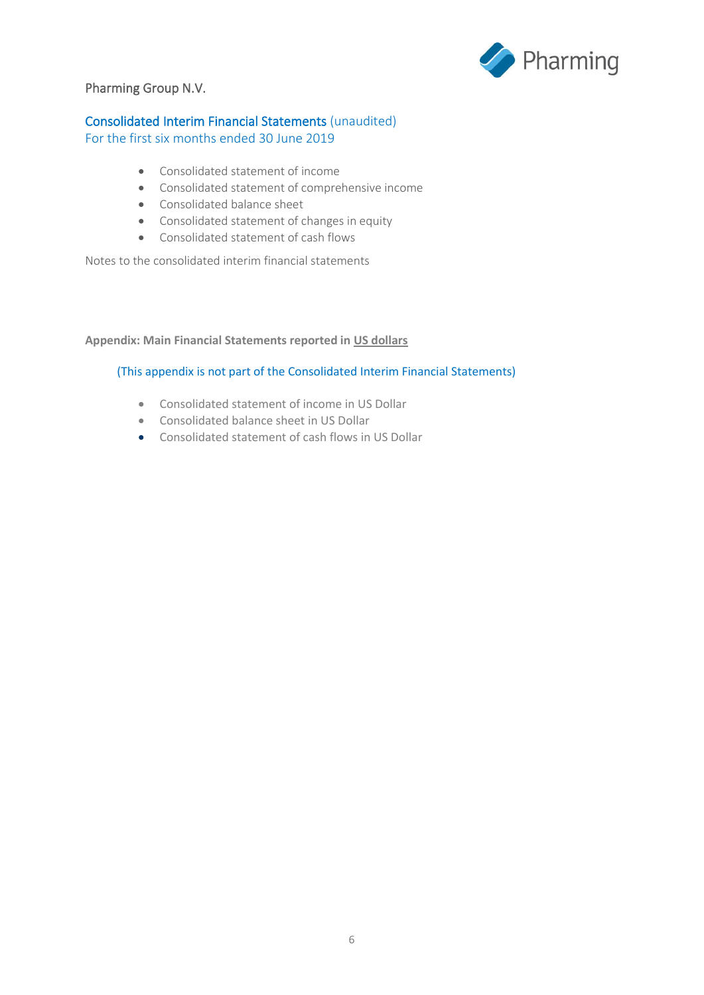

### Pharming Group N.V.

### Consolidated Interim Financial Statements (unaudited)

For the first six months ended 30 June 2019

- Consolidated statement of income
- Consolidated statement of comprehensive income
- Consolidated balance sheet
- Consolidated statement of changes in equity
- Consolidated statement of cash flows

Notes to the consolidated interim financial statements

#### **Appendix: Main Financial Statements reported in US dollars**

#### (This appendix is not part of the Consolidated Interim Financial Statements)

- Consolidated statement of income in US Dollar
- Consolidated balance sheet in US Dollar
- Consolidated statement of cash flows in US Dollar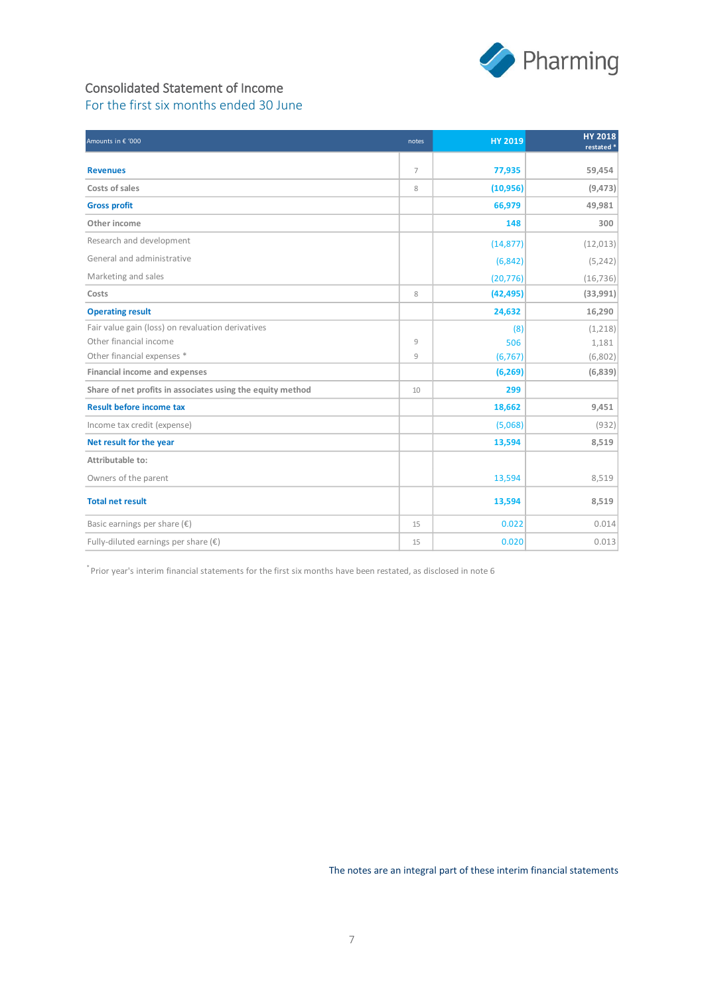

### Consolidated Statement of Income For the first six months ended 30 June

| Amounts in € '000                                          | notes          | <b>HY 2019</b> | <b>HY 2018</b><br>restated <sup>*</sup> |
|------------------------------------------------------------|----------------|----------------|-----------------------------------------|
| <b>Revenues</b>                                            | $\overline{7}$ | 77,935         | 59,454                                  |
| Costs of sales                                             | 8              | (10, 956)      | (9, 473)                                |
| <b>Gross profit</b>                                        |                | 66,979         | 49,981                                  |
| Other income                                               |                | 148            | 300                                     |
| Research and development                                   |                | (14, 877)      | (12, 013)                               |
| General and administrative                                 |                | (6, 842)       | (5, 242)                                |
| Marketing and sales                                        |                | (20, 776)      | (16, 736)                               |
| Costs                                                      | 8              | (42, 495)      | (33,991)                                |
| <b>Operating result</b>                                    |                | 24,632         | 16,290                                  |
| Fair value gain (loss) on revaluation derivatives          |                | (8)            | (1,218)                                 |
| Other financial income                                     | 9              | 506            | 1,181                                   |
| Other financial expenses *                                 | 9              | (6, 767)       | (6,802)                                 |
| <b>Financial income and expenses</b>                       |                | (6, 269)       | (6,839)                                 |
| Share of net profits in associates using the equity method | 10             | 299            |                                         |
| <b>Result before income tax</b>                            |                | 18,662         | 9,451                                   |
| Income tax credit (expense)                                |                | (5,068)        | (932)                                   |
| Net result for the year                                    |                | 13,594         | 8,519                                   |
| Attributable to:                                           |                |                |                                         |
| Owners of the parent                                       |                | 13,594         | 8,519                                   |
| <b>Total net result</b>                                    |                | 13,594         | 8,519                                   |
| Basic earnings per share $(\epsilon)$                      | 15             | 0.022          | 0.014                                   |
| Fully-diluted earnings per share $(\epsilon)$              | 15             | 0.020          | 0.013                                   |

\* Prior year's interim financial statements for the first six months have been restated, as disclosed in note 6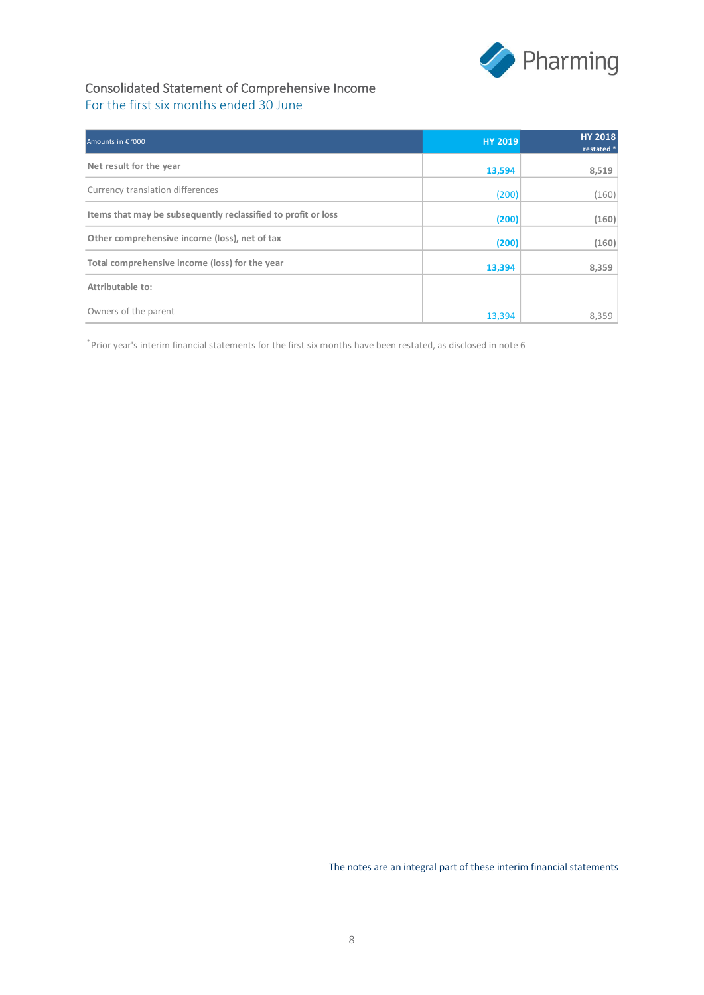

### Consolidated Statement of Comprehensive Income For the first six months ended 30 June

| Amounts in € '000                                             | <b>HY 2019</b> | <b>HY 2018</b><br>restated * |
|---------------------------------------------------------------|----------------|------------------------------|
| Net result for the year                                       | 13,594         | 8,519                        |
| Currency translation differences                              | (200)          | (160)                        |
| Items that may be subsequently reclassified to profit or loss | (200)          | (160)                        |
| Other comprehensive income (loss), net of tax                 | (200)          | (160)                        |
| Total comprehensive income (loss) for the year                | 13,394         | 8,359                        |
| Attributable to:                                              |                |                              |
| Owners of the parent                                          | 13,394         | 8,359                        |

\* Prior year's interim financial statements for the first six months have been restated, as disclosed in note 6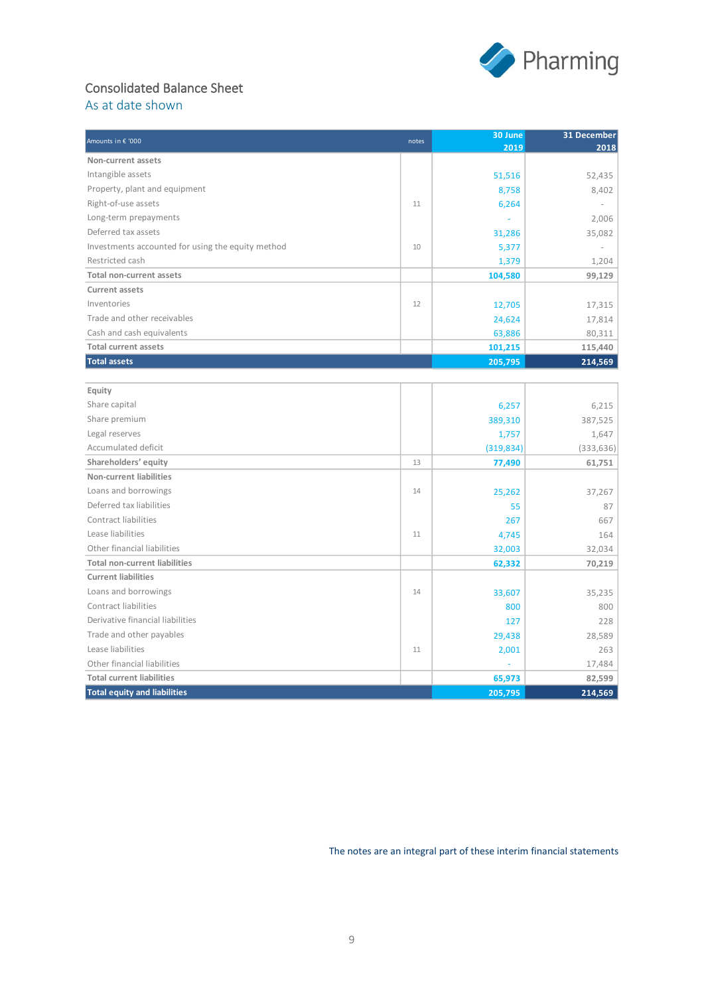

# Consolidated Balance Sheet

As at date shown

| Amounts in € '000                                 | notes | 30 June    | 31 December |
|---------------------------------------------------|-------|------------|-------------|
|                                                   |       | 2019       | 2018        |
| Non-current assets                                |       |            |             |
| Intangible assets                                 |       | 51,516     | 52,435      |
| Property, plant and equipment                     |       | 8,758      | 8,402       |
| Right-of-use assets                               | 11    | 6,264      |             |
| Long-term prepayments                             |       |            | 2,006       |
| Deferred tax assets                               |       | 31,286     | 35,082      |
| Investments accounted for using the equity method | 10    | 5,377      |             |
| Restricted cash                                   |       | 1,379      | 1,204       |
| Total non-current assets                          |       | 104,580    | 99,129      |
| <b>Current assets</b>                             |       |            |             |
| Inventories                                       | 12    | 12,705     | 17,315      |
| Trade and other receivables                       |       | 24,624     | 17,814      |
| Cash and cash equivalents                         |       | 63,886     | 80,311      |
| <b>Total current assets</b>                       |       | 101,215    | 115,440     |
| <b>Total assets</b>                               |       | 205,795    | 214,569     |
|                                                   |       |            |             |
| Equity                                            |       |            |             |
| Share capital                                     |       | 6,257      | 6,215       |
| Share premium                                     |       | 389,310    | 387,525     |
| Legal reserves                                    |       | 1,757      | 1,647       |
| Accumulated deficit                               |       | (319, 834) | (333, 636)  |
| Shareholders' equity                              | 13    | 77,490     | 61,751      |
| Non-current liabilities                           |       |            |             |
| Loans and borrowings                              | 14    | 25,262     | 37,267      |
| Deferred tax liabilities                          |       | 55         | 87          |
| Contract liabilities                              |       | 267        | 667         |
| Lease liabilities                                 | 11    | 4,745      | 164         |
| Other financial liabilities                       |       | 32,003     | 32,034      |
| <b>Total non-current liabilities</b>              |       | 62,332     | 70,219      |
| <b>Current liabilities</b>                        |       |            |             |
| Loans and borrowings                              | 14    | 33,607     | 35,235      |

Contract liabilities 800 800 Derivative financial liabilities 127 228 Trade and other payables 28,589 Lease liabilities  $\begin{array}{|c|c|c|c|c|c|c|c|c|c|} \hline & & & & 11& & & \hline & & & \textbf{2,001}& & \textbf{263} \ \hline \end{array}$ Other financial liabilities and the contract of the contract of the contract of the contract of the contract of the contract of the contract of the contract of the contract of the contract of the contract of the contract o **Total current liabilities** 82,599 **Total equity and liabilities 205,795 214,569**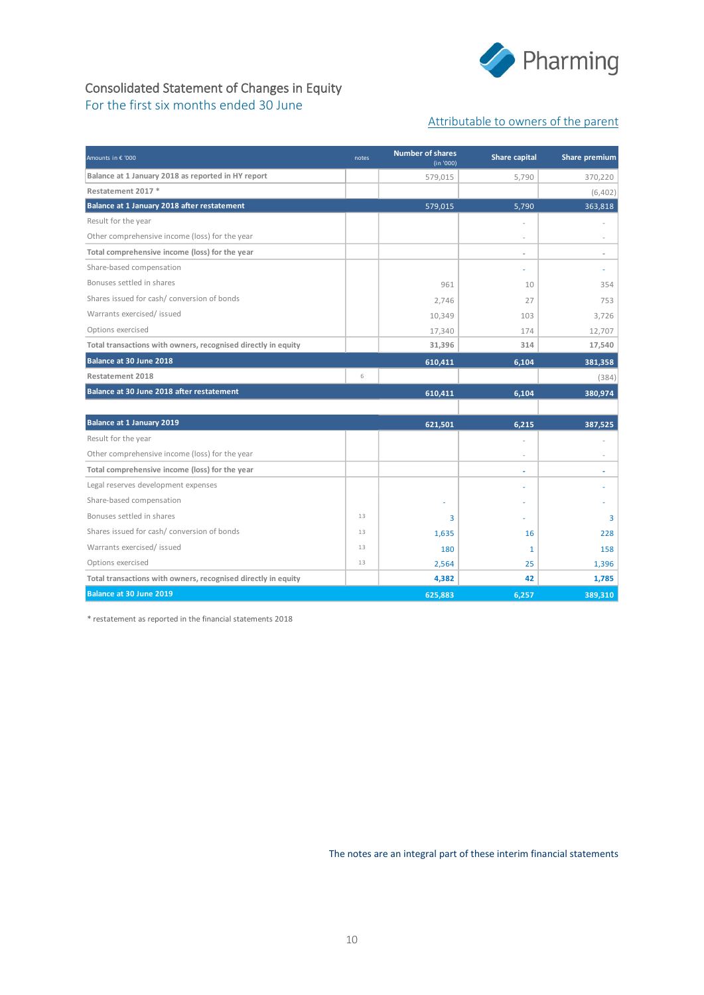

### Consolidated Statement of Changes in Equity For the first six months ended 30 June

#### Attributable to owners of the parent

| Amounts in € '000                                             | notes | <b>Number of shares</b><br>(in '000) | <b>Share capital</b>     | <b>Share premium</b> |
|---------------------------------------------------------------|-------|--------------------------------------|--------------------------|----------------------|
| Balance at 1 January 2018 as reported in HY report            |       | 579,015                              | 5.790                    | 370,220              |
| Restatement 2017 *                                            |       |                                      |                          | (6,402)              |
| Balance at 1 January 2018 after restatement                   |       | 579,015                              | 5,790                    | 363,818              |
| Result for the year                                           |       |                                      |                          |                      |
| Other comprehensive income (loss) for the year                |       |                                      | $\overline{a}$           |                      |
| Total comprehensive income (loss) for the year                |       |                                      | $\overline{\phantom{a}}$ | $\sim$               |
| Share-based compensation                                      |       |                                      | ä,                       | ×,                   |
| Bonuses settled in shares                                     |       | 961                                  | 10                       | 354                  |
| Shares issued for cash/conversion of bonds                    |       | 2,746                                | 27                       | 753                  |
| Warrants exercised/ issued                                    |       | 10,349                               | 103                      | 3,726                |
| Options exercised                                             |       | 17,340                               | 174                      | 12,707               |
| Total transactions with owners, recognised directly in equity |       | 31,396                               | 314                      | 17,540               |
| Balance at 30 June 2018                                       |       | 610,411                              | 6,104                    | 381,358              |
| <b>Restatement 2018</b>                                       | 6     |                                      |                          | (384)                |
| Balance at 30 June 2018 after restatement                     |       | 610,411                              | 6.104                    | 380,974              |
|                                                               |       |                                      |                          |                      |
| <b>Balance at 1 January 2019</b>                              |       | 621,501                              | 6.215                    | 387,525              |
| Result for the year                                           |       |                                      | L,                       |                      |
| Other comprehensive income (loss) for the year                |       |                                      | L.                       |                      |
| Total comprehensive income (loss) for the year                |       |                                      | ä,                       | ÷,                   |
| Legal reserves development expenses                           |       |                                      | ä,                       | ٠                    |
| Share-based compensation                                      |       |                                      | ٠                        |                      |
| Bonuses settled in shares                                     | 13    | 3                                    |                          | 3                    |
| Shares issued for cash/ conversion of bonds                   | 13    | 1,635                                | 16                       | 228                  |
| Warrants exercised/issued                                     | 13    | 180                                  | 1                        | 158                  |
| Options exercised                                             | 13    | 2,564                                | 25                       | 1,396                |
| Total transactions with owners, recognised directly in equity |       | 4,382                                | 42                       | 1,785                |
| Balance at 30 June 2019                                       |       | 625,883                              | 6.257                    | 389,310              |

\* restatement as reported in the financial statements 2018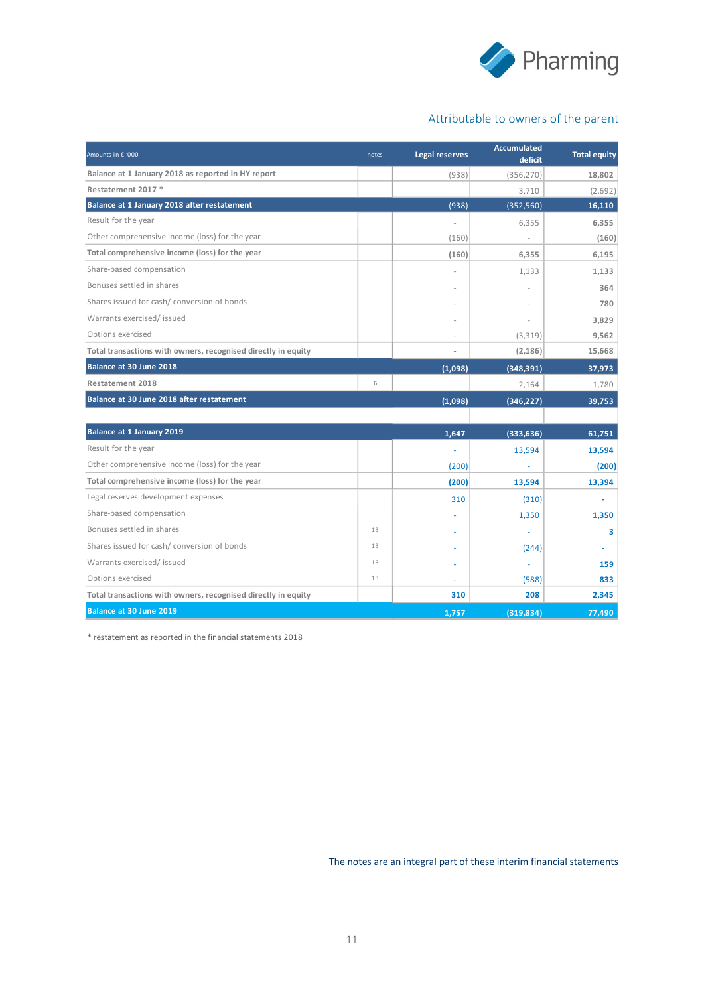

### Attributable to owners of the parent

| Amounts in € '000                                             | notes | <b>Legal reserves</b> | <b>Accumulated</b><br>deficit | <b>Total equity</b> |
|---------------------------------------------------------------|-------|-----------------------|-------------------------------|---------------------|
| Balance at 1 January 2018 as reported in HY report            |       | (938)                 | (356, 270)                    | 18,802              |
| Restatement 2017 *                                            |       |                       | 3,710                         | (2,692)             |
| Balance at 1 January 2018 after restatement                   |       | (938)                 | (352, 560)                    | 16,110              |
| Result for the year                                           |       | i.                    | 6,355                         | 6,355               |
| Other comprehensive income (loss) for the year                |       | (160)                 |                               | (160)               |
| Total comprehensive income (loss) for the year                |       | (160)                 | 6.355                         | 6,195               |
| Share-based compensation                                      |       |                       | 1,133                         | 1,133               |
| Bonuses settled in shares                                     |       |                       |                               | 364                 |
| Shares issued for cash/ conversion of bonds                   |       |                       |                               | 780                 |
| Warrants exercised/issued                                     |       |                       |                               | 3,829               |
| Options exercised                                             |       | ä,                    | (3,319)                       | 9,562               |
| Total transactions with owners, recognised directly in equity |       | $\bar{ }$             | (2, 186)                      | 15,668              |
| Balance at 30 June 2018                                       |       | (1,098)               | (348, 391)                    | 37,973              |
| Restatement 2018                                              | 6     |                       | 2,164                         | 1,780               |
| Balance at 30 June 2018 after restatement                     |       | (1,098)               | (346, 227)                    | 39,753              |
|                                                               |       |                       |                               |                     |
| <b>Balance at 1 January 2019</b>                              |       | 1,647                 | (333, 636)                    | 61,751              |
| Result for the year                                           |       | ä,                    | 13,594                        | 13,594              |
| Other comprehensive income (loss) for the year                |       | (200)                 |                               | (200)               |
| Total comprehensive income (loss) for the year                |       | (200)                 | 13,594                        | 13,394              |
| Legal reserves development expenses                           |       | 310                   | (310)                         |                     |
| Share-based compensation                                      |       |                       | 1,350                         | 1,350               |
| Bonuses settled in shares                                     | 13    |                       |                               | 3                   |
| Shares issued for cash/ conversion of bonds                   | 13    |                       | (244)                         | ÷                   |
| Warrants exercised/ issued                                    | 13    |                       |                               | 159                 |
| Options exercised                                             | 13    |                       | (588)                         | 833                 |
| Total transactions with owners, recognised directly in equity |       | 310                   | 208                           | 2,345               |
| Balance at 30 June 2019                                       |       | 1,757                 | (319, 834)                    | 77,490              |

\* restatement as reported in the financial statements 2018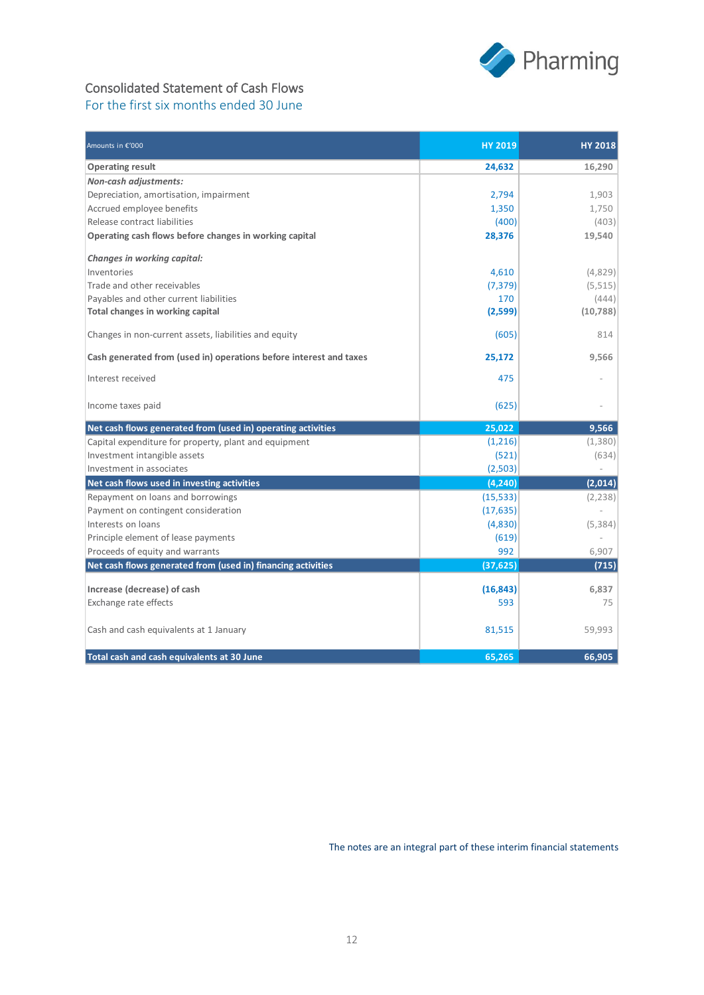

### Consolidated Statement of Cash Flows For the first six months ended 30 June

| Amounts in €'000                                                   | <b>HY 2019</b> | <b>HY 2018</b> |
|--------------------------------------------------------------------|----------------|----------------|
| <b>Operating result</b>                                            | 24,632         | 16,290         |
| <b>Non-cash adjustments:</b>                                       |                |                |
| Depreciation, amortisation, impairment                             | 2,794          | 1,903          |
| Accrued employee benefits                                          | 1,350          | 1,750          |
| Release contract liabilities                                       | (400)          | (403)          |
| Operating cash flows before changes in working capital             | 28,376         | 19,540         |
| Changes in working capital:                                        |                |                |
| Inventories                                                        | 4,610          | (4,829)        |
| Trade and other receivables                                        | (7,379)        | (5,515)        |
| Payables and other current liabilities                             | 170            | (444)          |
| Total changes in working capital                                   | (2,599)        | (10, 788)      |
| Changes in non-current assets, liabilities and equity              | (605)          | 814            |
| Cash generated from (used in) operations before interest and taxes | 25,172         | 9,566          |
| Interest received                                                  | 475            |                |
| Income taxes paid                                                  | (625)          |                |
| Net cash flows generated from (used in) operating activities       | 25,022         | 9,566          |
| Capital expenditure for property, plant and equipment              | (1,216)        | (1,380)        |
| Investment intangible assets                                       | (521)          | (634)          |
| Investment in associates                                           | (2,503)        |                |
| Net cash flows used in investing activities                        | (4, 240)       | (2,014)        |
| Repayment on loans and borrowings                                  | (15, 533)      | (2, 238)       |
| Payment on contingent consideration                                | (17, 635)      |                |
| Interests on loans                                                 | (4,830)        | (5,384)        |
| Principle element of lease payments                                | (619)          |                |
| Proceeds of equity and warrants                                    | 992            | 6.907          |
| Net cash flows generated from (used in) financing activities       | (37, 625)      | (715)          |
| Increase (decrease) of cash                                        | (16, 843)      | 6.837          |
| Exchange rate effects                                              | 593            | 75             |
| Cash and cash equivalents at 1 January                             | 81,515         | 59,993         |
| Total cash and cash equivalents at 30 June                         | 65,265         | 66,905         |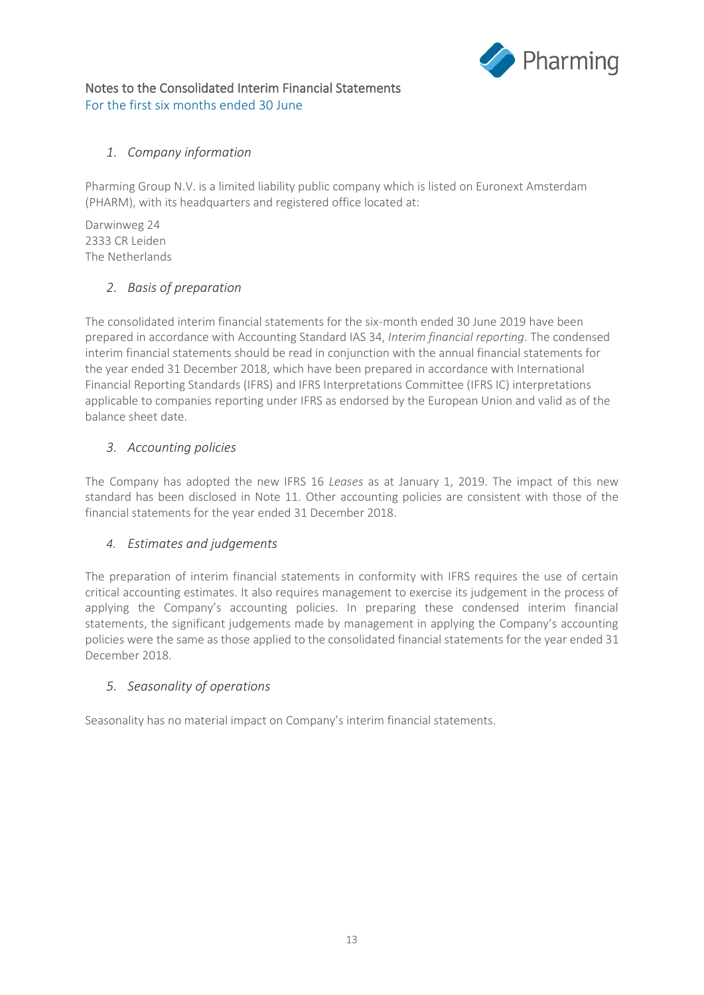

### Notes to the Consolidated Interim Financial Statements For the first six months ended 30 June

### *1. Company information*

Pharming Group N.V. is a limited liability public company which is listed on Euronext Amsterdam (PHARM), with its headquarters and registered office located at:

Darwinweg 24 2333 CR Leiden The Netherlands

### *2. Basis of preparation*

The consolidated interim financial statements for the six-month ended 30 June 2019 have been prepared in accordance with Accounting Standard IAS 34, *Interim financial reporting*. The condensed interim financial statements should be read in conjunction with the annual financial statements for the year ended 31 December 2018, which have been prepared in accordance with International Financial Reporting Standards (IFRS) and IFRS Interpretations Committee (IFRS IC) interpretations applicable to companies reporting under IFRS as endorsed by the European Union and valid as of the balance sheet date.

### *3. Accounting policies*

The Company has adopted the new IFRS 16 *Leases* as at January 1, 2019. The impact of this new standard has been disclosed in Note 11. Other accounting policies are consistent with those of the financial statements for the year ended 31 December 2018.

### *4. Estimates and judgements*

The preparation of interim financial statements in conformity with IFRS requires the use of certain critical accounting estimates. It also requires management to exercise its judgement in the process of applying the Company's accounting policies. In preparing these condensed interim financial statements, the significant judgements made by management in applying the Company's accounting policies were the same as those applied to the consolidated financial statements for the year ended 31 December 2018.

### *5. Seasonality of operations*

Seasonality has no material impact on Company's interim financial statements.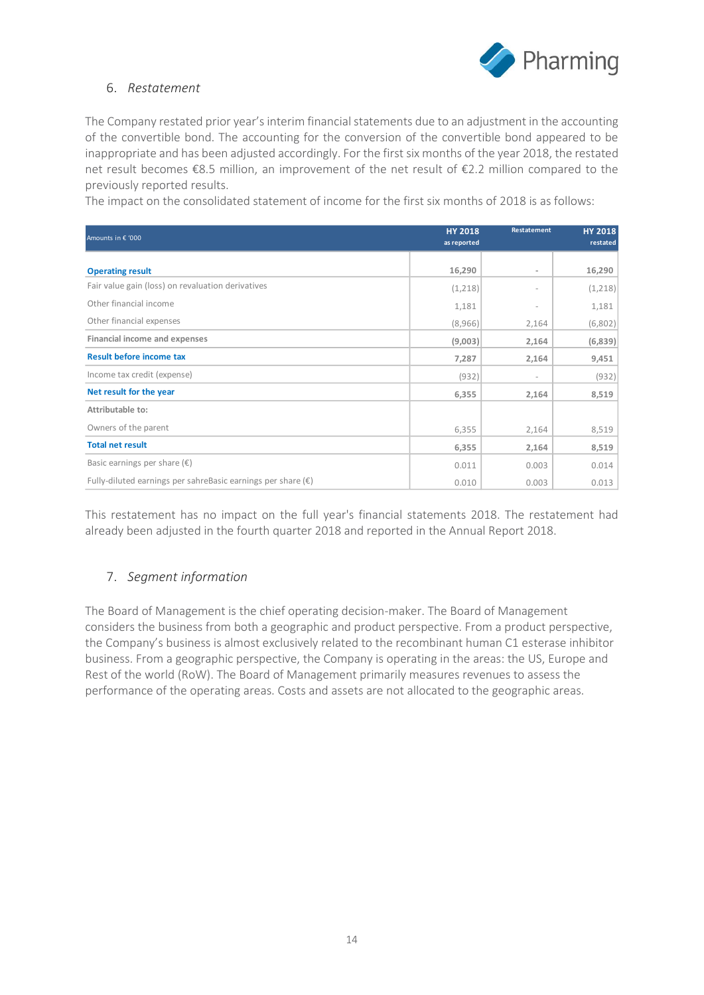

### 6. *Restatement*

The Company restated prior year's interim financial statements due to an adjustment in the accounting of the convertible bond. The accounting for the conversion of the convertible bond appeared to be inappropriate and has been adjusted accordingly. For the first six months of the year 2018, the restated net result becomes €8.5 million, an improvement of the net result of €2.2 million compared to the previously reported results.

The impact on the consolidated statement of income for the first six months of 2018 is as follows:

| Amounts in € '000                                                     | <b>HY 2018</b><br>as reported | Restatement              | <b>HY 2018</b><br>restated |
|-----------------------------------------------------------------------|-------------------------------|--------------------------|----------------------------|
| <b>Operating result</b>                                               | 16,290                        | ۰                        | 16,290                     |
| Fair value gain (loss) on revaluation derivatives                     | (1,218)                       |                          | (1,218)                    |
| Other financial income                                                | 1,181                         | ٠                        | 1,181                      |
| Other financial expenses                                              | (8,966)                       | 2,164                    | (6,802)                    |
| Financial income and expenses                                         | (9,003)                       | 2,164                    | (6,839)                    |
| <b>Result before income tax</b>                                       | 7,287                         | 2,164                    | 9,451                      |
| Income tax credit (expense)                                           | (932)                         | $\overline{\phantom{a}}$ | (932)                      |
| Net result for the year                                               | 6,355                         | 2,164                    | 8,519                      |
| Attributable to:                                                      |                               |                          |                            |
| Owners of the parent                                                  | 6,355                         | 2,164                    | 8,519                      |
| <b>Total net result</b>                                               | 6,355                         | 2,164                    | 8,519                      |
| Basic earnings per share $(\epsilon)$                                 | 0.011                         | 0.003                    | 0.014                      |
| Fully-diluted earnings per sahreBasic earnings per share $(\epsilon)$ | 0.010                         | 0.003                    | 0.013                      |

This restatement has no impact on the full year's financial statements 2018. The restatement had already been adjusted in the fourth quarter 2018 and reported in the Annual Report 2018.

### 7. *Segment information*

The Board of Management is the chief operating decision-maker. The Board of Management considers the business from both a geographic and product perspective. From a product perspective, the Company's business is almost exclusively related to the recombinant human C1 esterase inhibitor business. From a geographic perspective, the Company is operating in the areas: the US, Europe and Rest of the world (RoW). The Board of Management primarily measures revenues to assess the performance of the operating areas. Costs and assets are not allocated to the geographic areas.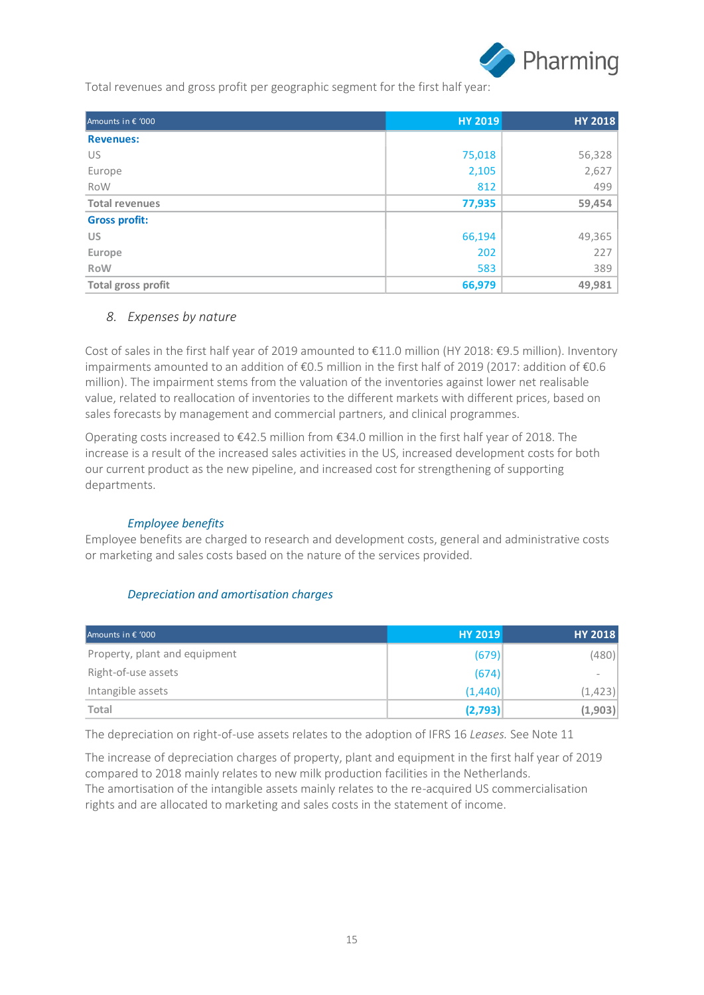

Total revenues and gross profit per geographic segment for the first half year:

| Amounts in € '000     | <b>HY 2019</b> | <b>HY 2018</b> |
|-----------------------|----------------|----------------|
| <b>Revenues:</b>      |                |                |
| US                    | 75,018         | 56,328         |
| Europe                | 2,105          | 2,627          |
| RoW                   | 812            | 499            |
| <b>Total revenues</b> | 77,935         | 59,454         |
| <b>Gross profit:</b>  |                |                |
| <b>US</b>             | 66,194         | 49,365         |
| Europe                | 202            | 227            |
| <b>RoW</b>            | 583            | 389            |
| Total gross profit    | 66,979         | 49,981         |

### *8. Expenses by nature*

Cost of sales in the first half year of 2019 amounted to €11.0 million (HY 2018: €9.5 million). Inventory impairments amounted to an addition of €0.5 million in the first half of 2019 (2017: addition of €0.6 million). The impairment stems from the valuation of the inventories against lower net realisable value, related to reallocation of inventories to the different markets with different prices, based on sales forecasts by management and commercial partners, and clinical programmes.

Operating costs increased to €42.5 million from €34.0 million in the first half year of 2018. The increase is a result of the increased sales activities in the US, increased development costs for both our current product as the new pipeline, and increased cost for strengthening of supporting departments.

#### *Employee benefits*

Employee benefits are charged to research and development costs, general and administrative costs or marketing and sales costs based on the nature of the services provided.

### *Depreciation and amortisation charges*

| Amounts in $\epsilon$ '000    | <b>HY 2019</b> | <b>HY 2018</b> |
|-------------------------------|----------------|----------------|
| Property, plant and equipment | (679)          | (480)          |
| Right-of-use assets           | (674)          | $\,$           |
| Intangible assets             | (1,440)        | (1, 423)       |
| Total                         | (2,793)        | (1,903)        |

The depreciation on right-of-use assets relates to the adoption of IFRS 16 *Leases.* See Note 11

The increase of depreciation charges of property, plant and equipment in the first half year of 2019 compared to 2018 mainly relates to new milk production facilities in the Netherlands. The amortisation of the intangible assets mainly relates to the re-acquired US commercialisation rights and are allocated to marketing and sales costs in the statement of income.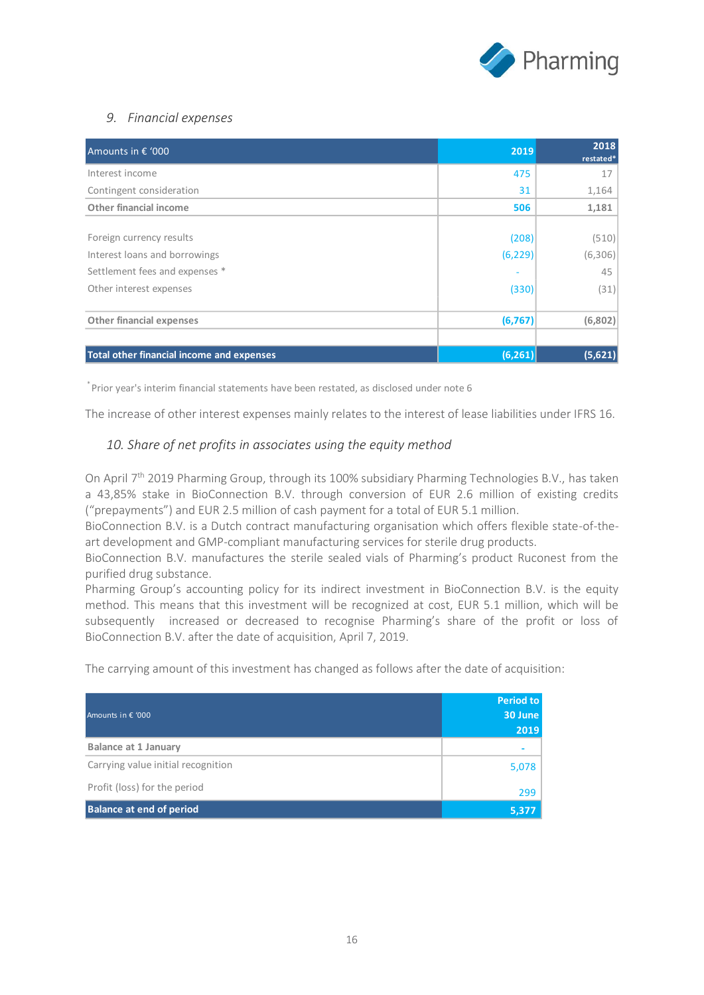

### *9. Financial expenses*

| Amounts in € '000                                | 2019     | 2018<br>restated* |
|--------------------------------------------------|----------|-------------------|
| Interest income                                  | 475      | 17                |
| Contingent consideration                         | 31       | 1,164             |
| Other financial income                           | 506      | 1,181             |
|                                                  |          |                   |
| Foreign currency results                         | (208)    | (510)             |
| Interest loans and borrowings                    | (6, 229) | (6,306)           |
| Settlement fees and expenses *                   |          | 45                |
| Other interest expenses                          | (330)    | (31)              |
| <b>Other financial expenses</b>                  | (6, 767) | (6,802)           |
|                                                  |          |                   |
| <b>Total other financial income and expenses</b> | (6, 261) | (5,621)           |

\* Prior year's interim financial statements have been restated, as disclosed under note 6

The increase of other interest expenses mainly relates to the interest of lease liabilities under IFRS 16.

### *10. Share of net profits in associates using the equity method*

On April 7<sup>th</sup> 2019 Pharming Group, through its 100% subsidiary Pharming Technologies B.V., has taken a 43,85% stake in BioConnection B.V. through conversion of EUR 2.6 million of existing credits ("prepayments") and EUR 2.5 million of cash payment for a total of EUR 5.1 million.

BioConnection B.V. is a Dutch contract manufacturing organisation which offers flexible state-of-theart development and GMP-compliant manufacturing services for sterile drug products.

BioConnection B.V. manufactures the sterile sealed vials of Pharming's product Ruconest from the purified drug substance.

Pharming Group's accounting policy for its indirect investment in BioConnection B.V. is the equity method. This means that this investment will be recognized at cost, EUR 5.1 million, which will be subsequently increased or decreased to recognise Pharming's share of the profit or loss of BioConnection B.V. after the date of acquisition, April 7, 2019.

The carrying amount of this investment has changed as follows after the date of acquisition:

| Amounts in € '000                  | Period to<br>30 June<br>2019 |
|------------------------------------|------------------------------|
| <b>Balance at 1 January</b>        |                              |
| Carrying value initial recognition | 5,078                        |
| Profit (loss) for the period       | 299                          |
| <b>Balance at end of period</b>    | 5,377                        |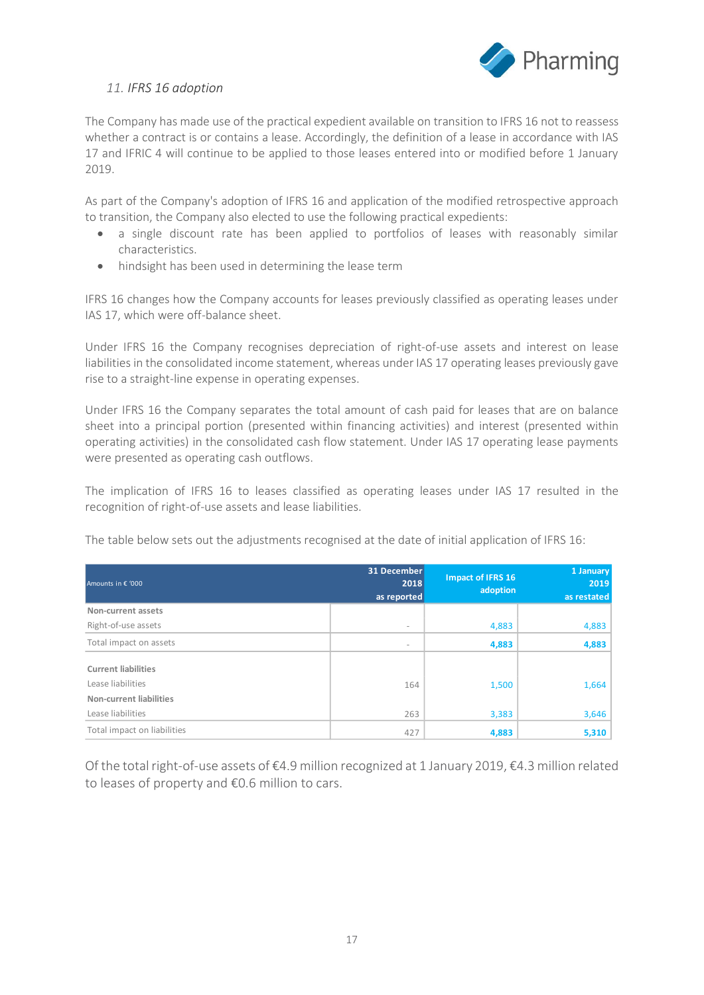

#### *11. IFRS 16 adoption*

The Company has made use of the practical expedient available on transition to IFRS 16 not to reassess whether a contract is or contains a lease. Accordingly, the definition of a lease in accordance with IAS 17 and IFRIC 4 will continue to be applied to those leases entered into or modified before 1 January 2019.

As part of the Company's adoption of IFRS 16 and application of the modified retrospective approach to transition, the Company also elected to use the following practical expedients:

- a single discount rate has been applied to portfolios of leases with reasonably similar characteristics.
- hindsight has been used in determining the lease term

IFRS 16 changes how the Company accounts for leases previously classified as operating leases under IAS 17, which were off-balance sheet.

Under IFRS 16 the Company recognises depreciation of right-of-use assets and interest on lease liabilities in the consolidated income statement, whereas under IAS 17 operating leases previously gave rise to a straight-line expense in operating expenses.

Under IFRS 16 the Company separates the total amount of cash paid for leases that are on balance sheet into a principal portion (presented within financing activities) and interest (presented within operating activities) in the consolidated cash flow statement. Under IAS 17 operating lease payments were presented as operating cash outflows.

The implication of IFRS 16 to leases classified as operating leases under IAS 17 resulted in the recognition of right-of-use assets and lease liabilities.

The table below sets out the adjustments recognised at the date of initial application of IFRS 16:

| Amounts in € '000           | 31 December<br>2018<br>as reported | <b>Impact of IFRS 16</b><br>adoption | 1 January<br>2019<br>as restated |
|-----------------------------|------------------------------------|--------------------------------------|----------------------------------|
| Non-current assets          |                                    |                                      |                                  |
| Right-of-use assets         | $\overline{\phantom{a}}$           | 4,883                                | 4,883                            |
| Total impact on assets      | $\overline{\phantom{a}}$           | 4,883                                | 4,883                            |
| <b>Current liabilities</b>  |                                    |                                      |                                  |
| Lease liabilities           | 164                                | 1,500                                | 1,664                            |
| Non-current liabilities     |                                    |                                      |                                  |
| Lease liabilities           | 263                                | 3,383                                | 3,646                            |
| Total impact on liabilities | 427                                | 4,883                                | 5,310                            |

Of the total right-of-use assets of €4.9 million recognized at 1 January 2019, €4.3 million related to leases of property and €0.6 million to cars.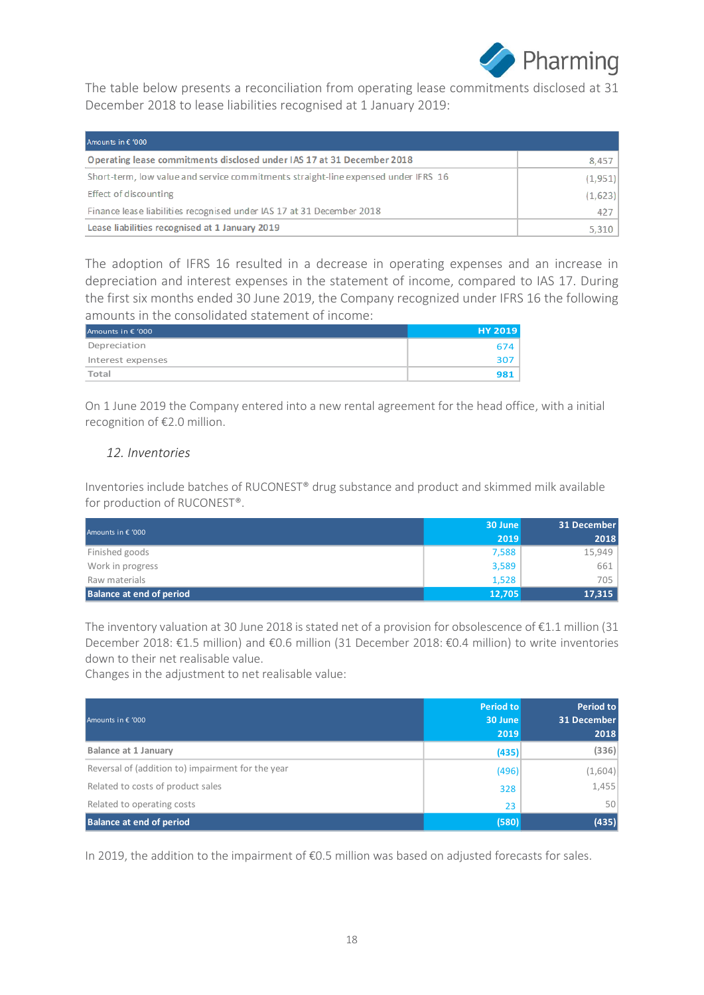

The table below presents a reconciliation from operating lease commitments disclosed at 31 December 2018 to lease liabilities recognised at 1 January 2019:

| Amounts in € '000                                                                  |         |
|------------------------------------------------------------------------------------|---------|
| Operating lease commitments disclosed under IAS 17 at 31 December 2018             | 8,457   |
| Short-term, low value and service commitments straight-line expensed under IFRS 16 | (1,951) |
| Effect of discounting                                                              | (1,623) |
| Finance lease liabilities recognised under IAS 17 at 31 December 2018              | 427     |
| Lease liabilities recognised at 1 January 2019                                     | 5,310   |

The adoption of IFRS 16 resulted in a decrease in operating expenses and an increase in depreciation and interest expenses in the statement of income, compared to IAS 17. During the first six months ended 30 June 2019, the Company recognized under IFRS 16 the following amounts in the consolidated statement of income:

| Amounts in € '000 | <b>HY 2019</b> |
|-------------------|----------------|
| Depreciation      | 674 I          |
| Interest expenses | 307 I          |
| Total             | 981            |

On 1 June 2019 the Company entered into a new rental agreement for the head office, with a initial recognition of €2.0 million.

### *12. Inventories*

Inventories include batches of RUCONEST® drug substance and product and skimmed milk available for production of RUCONEST®.

| Amounts in € '000               | 30 June | 31 December |
|---------------------------------|---------|-------------|
|                                 | 2019    | 2018        |
| Finished goods                  | 7,588   | 15,949      |
| Work in progress                | 3,589   | 661         |
| Raw materials                   | 1,528   | 705         |
| <b>Balance at end of period</b> | 12,705  | 17,315      |

The inventory valuation at 30 June 2018 is stated net of a provision for obsolescence of €1.1 million (31 December 2018: €1.5 million) and €0.6 million (31 December 2018: €0.4 million) to write inventories down to their net realisable value.

Changes in the adjustment to net realisable value:

| Amounts in € '000                                 | <b>Period to</b><br>30 June<br>2019 | Period to<br>31 December<br>2018 |
|---------------------------------------------------|-------------------------------------|----------------------------------|
| Balance at 1 January                              | (435)                               | (336)                            |
| Reversal of (addition to) impairment for the year | (496)                               | (1,604)                          |
| Related to costs of product sales                 | 328                                 | 1,455                            |
| Related to operating costs                        | 23                                  | 50                               |
| <b>Balance at end of period</b>                   | (580)                               | (435)                            |

In 2019, the addition to the impairment of €0.5 million was based on adjusted forecasts for sales.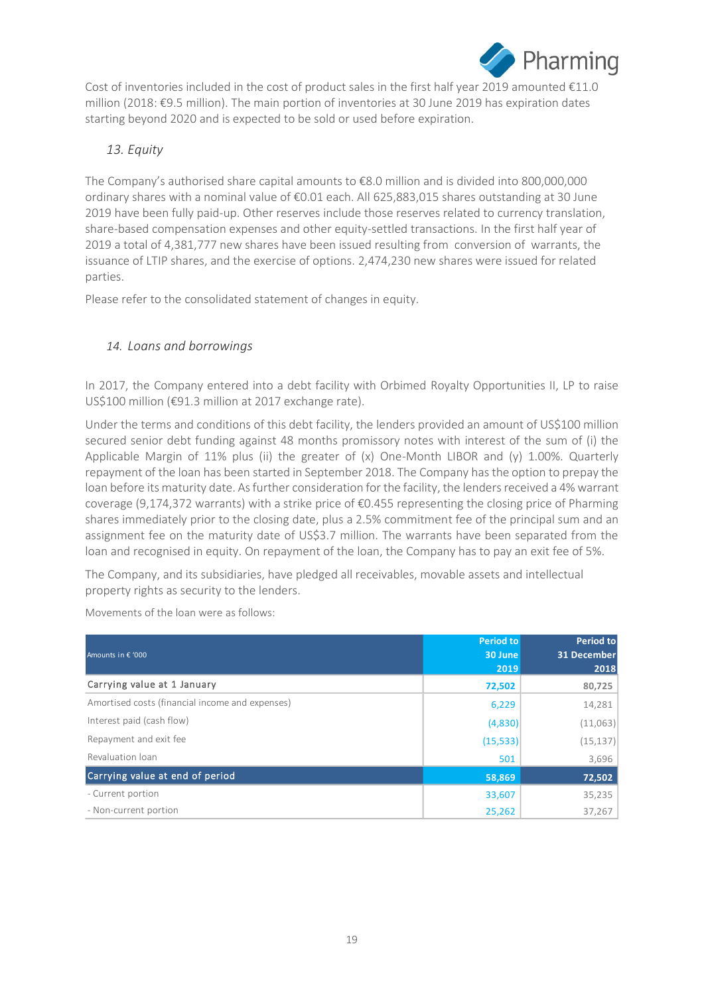

Cost of inventories included in the cost of product sales in the first half year 2019 amounted €11.0 million (2018: €9.5 million). The main portion of inventories at 30 June 2019 has expiration dates starting beyond 2020 and is expected to be sold or used before expiration.

### *13. Equity*

The Company's authorised share capital amounts to €8.0 million and is divided into 800,000,000 ordinary shares with a nominal value of €0.01 each. All 625,883,015 shares outstanding at 30 June 2019 have been fully paid-up. Other reserves include those reserves related to currency translation, share-based compensation expenses and other equity-settled transactions. In the first half year of 2019 a total of 4,381,777 new shares have been issued resulting from conversion of warrants, the issuance of LTIP shares, and the exercise of options. 2,474,230 new shares were issued for related parties.

Please refer to the consolidated statement of changes in equity.

### *14. Loans and borrowings*

In 2017, the Company entered into a debt facility with Orbimed Royalty Opportunities II, LP to raise US\$100 million (€91.3 million at 2017 exchange rate).

Under the terms and conditions of this debt facility, the lenders provided an amount of US\$100 million secured senior debt funding against 48 months promissory notes with interest of the sum of (i) the Applicable Margin of 11% plus (ii) the greater of  $(x)$  One-Month LIBOR and  $(y)$  1.00%. Quarterly repayment of the loan has been started in September 2018. The Company has the option to prepay the loan before its maturity date. As further consideration for the facility, the lenders received a 4% warrant coverage (9,174,372 warrants) with a strike price of  $\epsilon$ 0.455 representing the closing price of Pharming shares immediately prior to the closing date, plus a 2.5% commitment fee of the principal sum and an assignment fee on the maturity date of US\$3.7 million. The warrants have been separated from the loan and recognised in equity. On repayment of the loan, the Company has to pay an exit fee of 5%.

The Company, and its subsidiaries, have pledged all receivables, movable assets and intellectual property rights as security to the lenders.

|                                                 | <b>Period to</b> | <b>Period to</b>   |
|-------------------------------------------------|------------------|--------------------|
| Amounts in € '000                               | 30 June          | <b>31 December</b> |
|                                                 | 2019             | 2018               |
| Carrying value at 1 January                     | 72,502           | 80,725             |
| Amortised costs (financial income and expenses) | 6,229            | 14,281             |
| Interest paid (cash flow)                       | (4,830)          | (11,063)           |
| Repayment and exit fee                          | (15, 533)        | (15, 137)          |
| Revaluation loan                                | 501              | 3,696              |
| Carrying value at end of period                 | 58,869           | 72,502             |
| - Current portion                               | 33,607           | 35,235             |
| - Non-current portion                           | 25,262           | 37,267             |

Movements of the loan were as follows: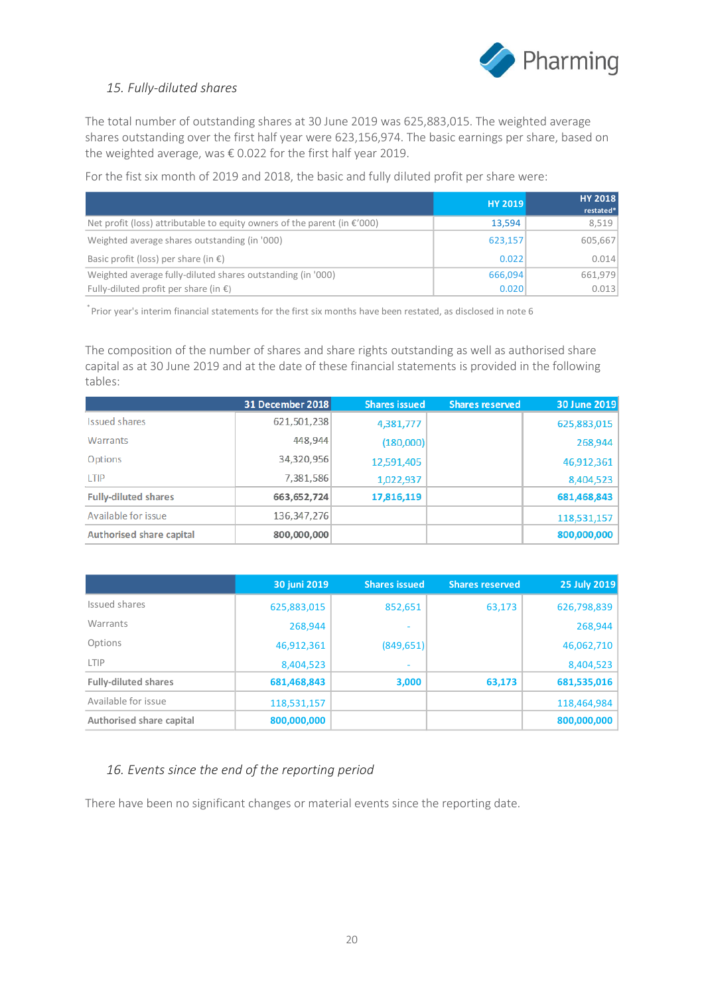

### *15. Fully-diluted shares*

The total number of outstanding shares at 30 June 2019 was 625,883,015. The weighted average shares outstanding over the first half year were 623,156,974. The basic earnings per share, based on the weighted average, was € 0.022 for the first half year 2019.

For the fist six month of 2019 and 2018, the basic and fully diluted profit per share were:

|                                                                                    | <b>HY 2019</b> | <b>HY 2018</b><br>restated* |
|------------------------------------------------------------------------------------|----------------|-----------------------------|
| Net profit (loss) attributable to equity owners of the parent (in $\epsilon$ '000) | 13.594         | 8,519                       |
| Weighted average shares outstanding (in '000)                                      | 623,157        | 605,667                     |
| Basic profit (loss) per share (in $\epsilon$ )                                     | 0.022          | 0.014                       |
| Weighted average fully-diluted shares outstanding (in '000)                        | 666,094        | 661,979                     |
| Fully-diluted profit per share (in $\epsilon$ )                                    | 0.020          | 0.013                       |

\* Prior year's interim financial statements for the first six months have been restated, as disclosed in note 6

The composition of the number of shares and share rights outstanding as well as authorised share capital as at 30 June 2019 and at the date of these financial statements is provided in the following tables:

|                                 | 31 December 2018 | <b>Shares issued</b> | <b>Shares reserved</b> | 30 June 2019 |
|---------------------------------|------------------|----------------------|------------------------|--------------|
| <b>Issued shares</b>            | 621,501,238      | 4,381,777            |                        | 625,883,015  |
| Warrants                        | 448,944          | (180,000)            |                        | 268,944      |
| Options                         | 34,320,956       | 12,591,405           |                        | 46,912,361   |
| <b>I TIP</b>                    | 7,381,586        | 1,022,937            |                        | 8,404,523    |
| <b>Fully-diluted shares</b>     | 663,652,724      | 17,816,119           |                        | 681,468,843  |
| Available for issue             | 136, 347, 276    |                      |                        | 118,531,157  |
| <b>Authorised share capital</b> | 800,000,000      |                      |                        | 800,000,000  |

|                             | 30 juni 2019 | <b>Shares issued</b> | <b>Shares reserved</b> | 25 July 2019 |
|-----------------------------|--------------|----------------------|------------------------|--------------|
| Issued shares               | 625,883,015  | 852,651              | 63,173                 | 626,798,839  |
| Warrants                    | 268,944      |                      |                        | 268,944      |
| Options                     | 46,912,361   | (849, 651)           |                        | 46,062,710   |
| LTIP                        | 8,404,523    | ۰                    |                        | 8,404,523    |
| <b>Fully-diluted shares</b> | 681,468,843  | 3,000                | 63,173                 | 681,535,016  |
| Available for issue         | 118,531,157  |                      |                        | 118,464,984  |
| Authorised share capital    | 800,000,000  |                      |                        | 800,000,000  |

### *16. Events since the end of the reporting period*

There have been no significant changes or material events since the reporting date.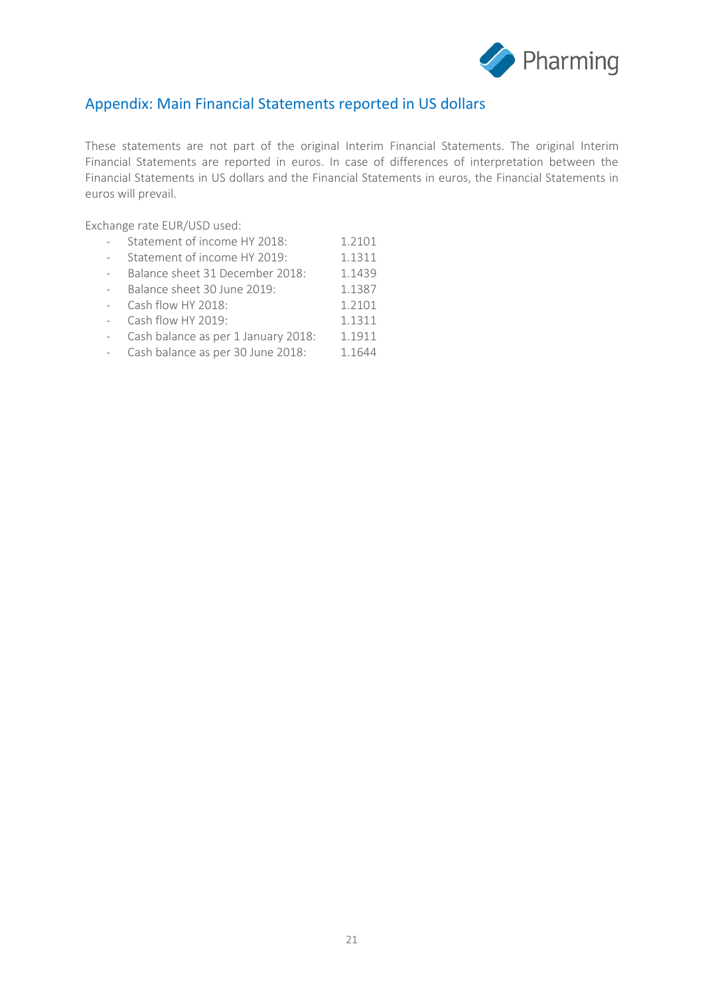

### Appendix: Main Financial Statements reported in US dollars

These statements are not part of the original Interim Financial Statements. The original Interim Financial Statements are reported in euros. In case of differences of interpretation between the Financial Statements in US dollars and the Financial Statements in euros, the Financial Statements in euros will prevail.

Exchange rate EUR/USD used:

- Statement of income HY 2018: 1.2101<br>- Statement of income HY 2019: 11311
- Statement of income HY 2019: 1.1311
- Balance sheet 31 December 2018: 1.1439
- Balance sheet 30 June 2019: 1.1387
- Cash flow HY 2018: 1.2101
- Cash flow HY 2019: 1.1311
- Cash balance as per 1 January 2018: 1.1911
- Cash balance as per 30 June 2018: 1.1644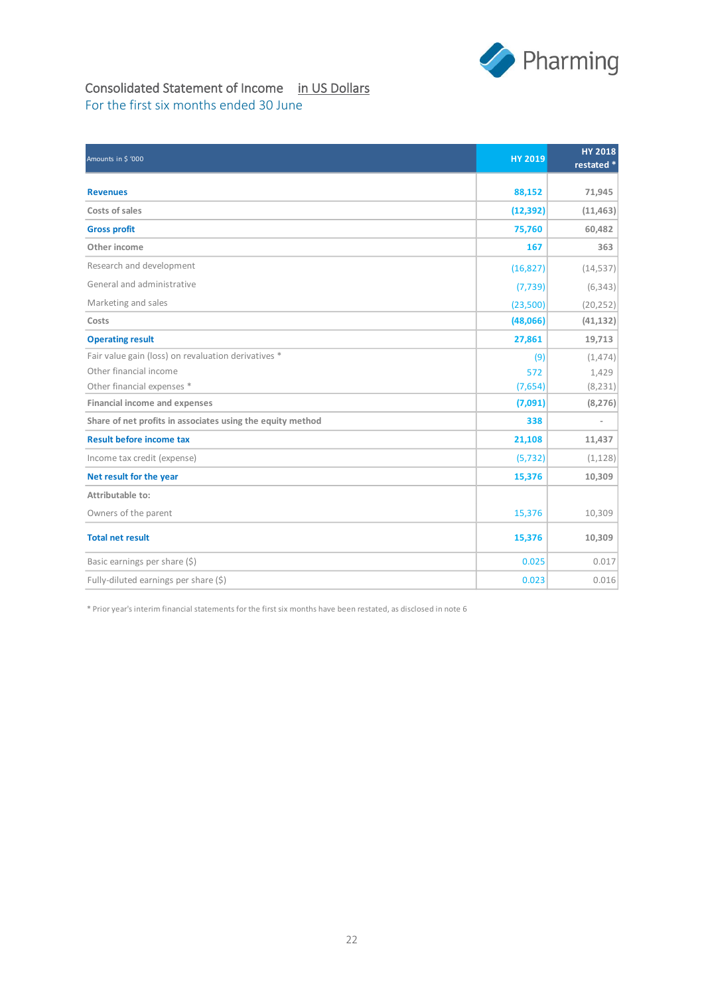

## Consolidated Statement of Income in US Dollars For the first six months ended 30 June

| Amounts in \$ '000                                         | <b>HY 2019</b> | <b>HY 2018</b><br>restated * |
|------------------------------------------------------------|----------------|------------------------------|
| <b>Revenues</b>                                            | 88,152         | 71,945                       |
| Costs of sales                                             | (12, 392)      | (11, 463)                    |
| <b>Gross profit</b>                                        | 75,760         | 60,482                       |
| Other income                                               | 167            | 363                          |
| Research and development                                   | (16, 827)      | (14, 537)                    |
| General and administrative                                 | (7, 739)       | (6, 343)                     |
| Marketing and sales                                        | (23,500)       | (20, 252)                    |
| Costs                                                      | (48,066)       | (41, 132)                    |
| <b>Operating result</b>                                    | 27,861         | 19,713                       |
| Fair value gain (loss) on revaluation derivatives *        | (9)            | (1, 474)                     |
| Other financial income                                     | 572            | 1,429                        |
| Other financial expenses *                                 | (7,654)        | (8, 231)                     |
| <b>Financial income and expenses</b>                       | (7,091)        | (8, 276)                     |
| Share of net profits in associates using the equity method | 338            | $\overline{a}$               |
| <b>Result before income tax</b>                            | 21,108         | 11,437                       |
| Income tax credit (expense)                                | (5, 732)       | (1, 128)                     |
| Net result for the year                                    | 15,376         | 10,309                       |
| Attributable to:                                           |                |                              |
| Owners of the parent                                       | 15,376         | 10,309                       |
| <b>Total net result</b>                                    | 15,376         | 10,309                       |
| Basic earnings per share (\$)                              | 0.025          | 0.017                        |
| Fully-diluted earnings per share $(\xi)$                   | 0.023          | 0.016                        |

\* Prior year's interim financial statements for the first six months have been restated, as disclosed in note 6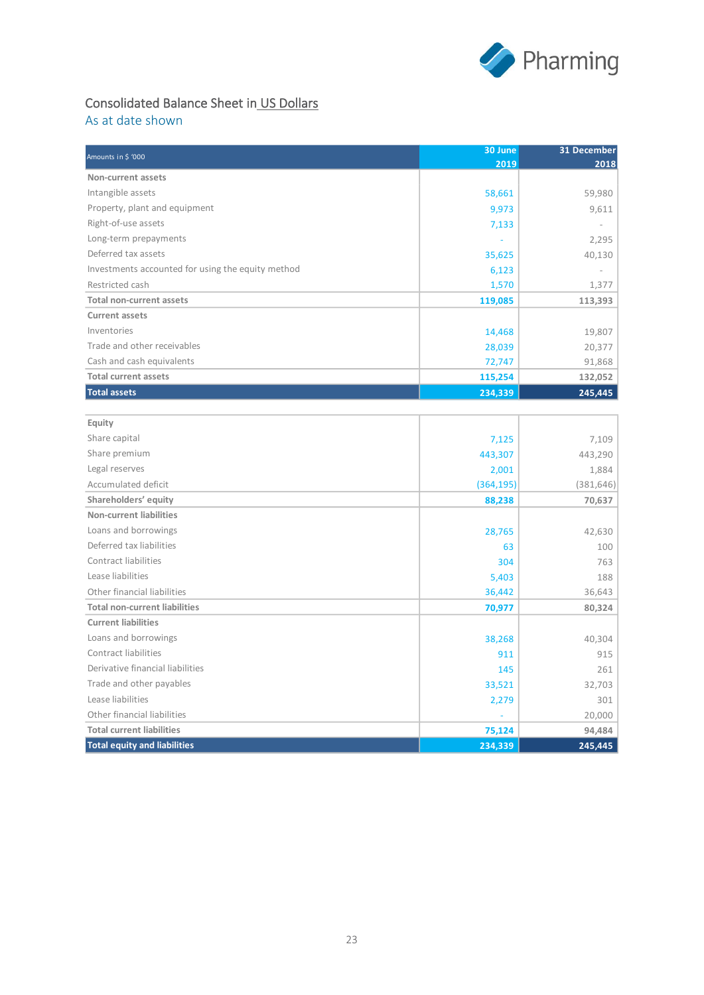

# Consolidated Balance Sheet in US Dollars

As at date shown

| Amounts in \$ '000                                | 30 June    | 31 December |
|---------------------------------------------------|------------|-------------|
|                                                   | 2019       | 2018        |
| Non-current assets                                |            |             |
| Intangible assets                                 | 58,661     | 59,980      |
| Property, plant and equipment                     | 9,973      | 9,611       |
| Right-of-use assets                               | 7,133      |             |
| Long-term prepayments                             |            | 2,295       |
| Deferred tax assets                               | 35,625     | 40,130      |
| Investments accounted for using the equity method | 6,123      |             |
| Restricted cash                                   | 1,570      | 1,377       |
| <b>Total non-current assets</b>                   | 119,085    | 113,393     |
| <b>Current assets</b>                             |            |             |
| Inventories                                       | 14,468     | 19,807      |
| Trade and other receivables                       | 28,039     | 20,377      |
| Cash and cash equivalents                         | 72,747     | 91,868      |
| <b>Total current assets</b>                       | 115,254    | 132,052     |
| <b>Total assets</b>                               | 234,339    | 245,445     |
|                                                   |            |             |
| Equity                                            |            |             |
| Share capital                                     | 7,125      | 7,109       |
| Share premium                                     | 443,307    | 443,290     |
| Legal reserves                                    | 2,001      | 1,884       |
| Accumulated deficit                               | (364, 195) | (381, 646)  |
| Shareholders' equity                              | 88,238     | 70,637      |
| <b>Non-current liabilities</b>                    |            |             |
| Loans and borrowings                              | 28,765     | 42,630      |
| Deferred tax liabilities                          | 63         | 100         |
| <b>Contract liabilities</b>                       | 304        | 763         |
| Lease liabilities                                 | 5,403      | 188         |
| Other financial liabilities                       | 36,442     | 36,643      |
| <b>Total non-current liabilities</b>              | 70,977     | 80,324      |
| <b>Current liabilities</b>                        |            |             |
| Loans and borrowings                              | 38,268     | 40,304      |
| Contract liabilities                              | 911        | 915         |
| Derivative financial liabilities                  | 145        | 261         |
| Trade and other payables                          | 33,521     | 32,703      |
| Lease liabilities                                 | 2,279      | 301         |
| Other financial liabilities                       |            | 20,000      |
| <b>Total current liabilities</b>                  | 75,124     | 94,484      |
| <b>Total equity and liabilities</b>               | 234,339    | 245,445     |